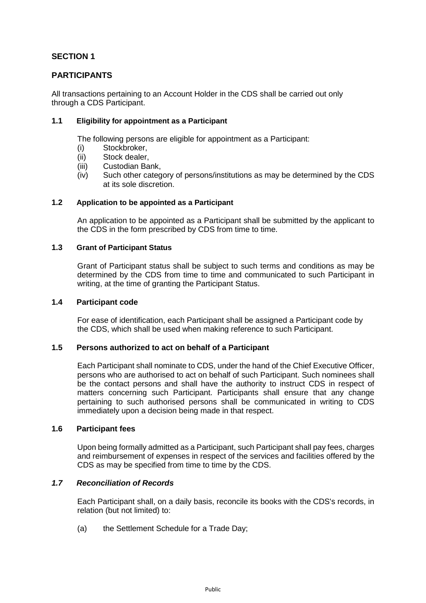# **SECTION 1**

# **PARTICIPANTS**

All transactions pertaining to an Account Holder in the CDS shall be carried out only through a CDS Participant.

## **1.1 Eligibility for appointment as a Participant**

The following persons are eligible for appointment as a Participant:

- (i) Stockbroker,
- (ii) Stock dealer,
- (iii) Custodian Bank,
- (iv) Such other category of persons/institutions as may be determined by the CDS at its sole discretion.

## **1.2 Application to be appointed as a Participant**

An application to be appointed as a Participant shall be submitted by the applicant to the CDS in the form prescribed by CDS from time to time.

### **1.3 Grant of Participant Status**

Grant of Participant status shall be subject to such terms and conditions as may be determined by the CDS from time to time and communicated to such Participant in writing, at the time of granting the Participant Status.

### **1.4 Participant code**

For ease of identification, each Participant shall be assigned a Participant code by the CDS, which shall be used when making reference to such Participant.

### **1.5 Persons authorized to act on behalf of a Participant**

Each Participant shall nominate to CDS, under the hand of the Chief Executive Officer, persons who are authorised to act on behalf of such Participant. Such nominees shall be the contact persons and shall have the authority to instruct CDS in respect of matters concerning such Participant. Participants shall ensure that any change pertaining to such authorised persons shall be communicated in writing to CDS immediately upon a decision being made in that respect.

### **1.6 Participant fees**

Upon being formally admitted as a Participant, such Participant shall pay fees, charges and reimbursement of expenses in respect of the services and facilities offered by the CDS as may be specified from time to time by the CDS.

# *1.7 Reconciliation of Records*

Each Participant shall, on a daily basis, reconcile its books with the CDS's records, in relation (but not limited) to:

(a) the Settlement Schedule for a Trade Day;